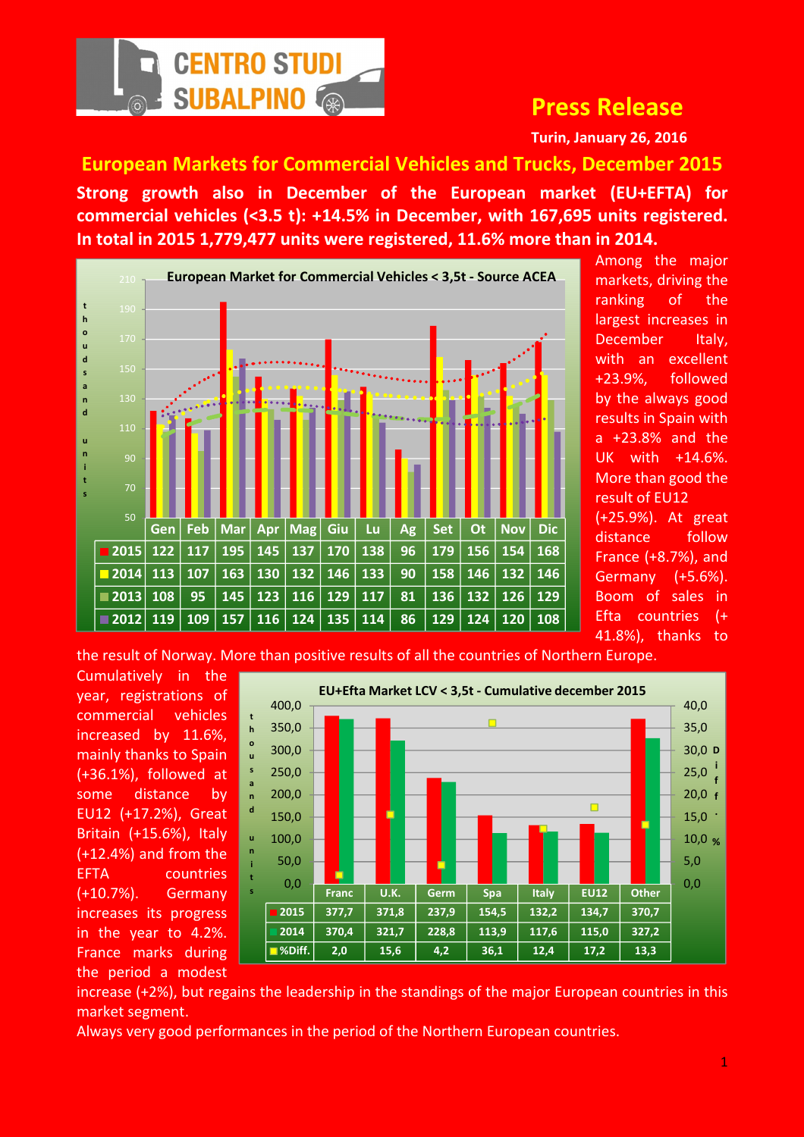

## Press Release

Turin, January 26, 2016

European Markets for Commercial Vehicles and Trucks, December 2015 Strong growth also in December of the European market (EU+EFTA) for commercial vehicles (<3.5 t): +14.5% in December, with 167,695 units registered. In total in 2015 1,779,477 units were registered, 11.6% more than in 2014.



Among the major markets, driving the ranking of the largest increases in December Italy, with an excellent +23.9%, followed by the always good results in Spain with a +23.8% and the UK with +14.6%. More than good the result of EU12 (+25.9%). At great distance follow

France (+8.7%), and Germany (+5.6%). Boom of sales in Efta countries (+ 41.8%), thanks to

the result of Norway. More than positive results of all the countries of Northern Europe.

Cumulatively in the year, registrations of commercial vehicles increased by 11.6%, mainly thanks to Spain (+36.1%), followed at some distance by EU12 (+17.2%), Great Britain (+15.6%), Italy (+12.4%) and from the EFTA countries (+10.7%). Germany increases its progress in the year to 4.2%. France marks during the period a modest



increase (+2%), but regains the leadership in the standings of the major European countries in this market segment.

Always very good performances in the period of the Northern European countries.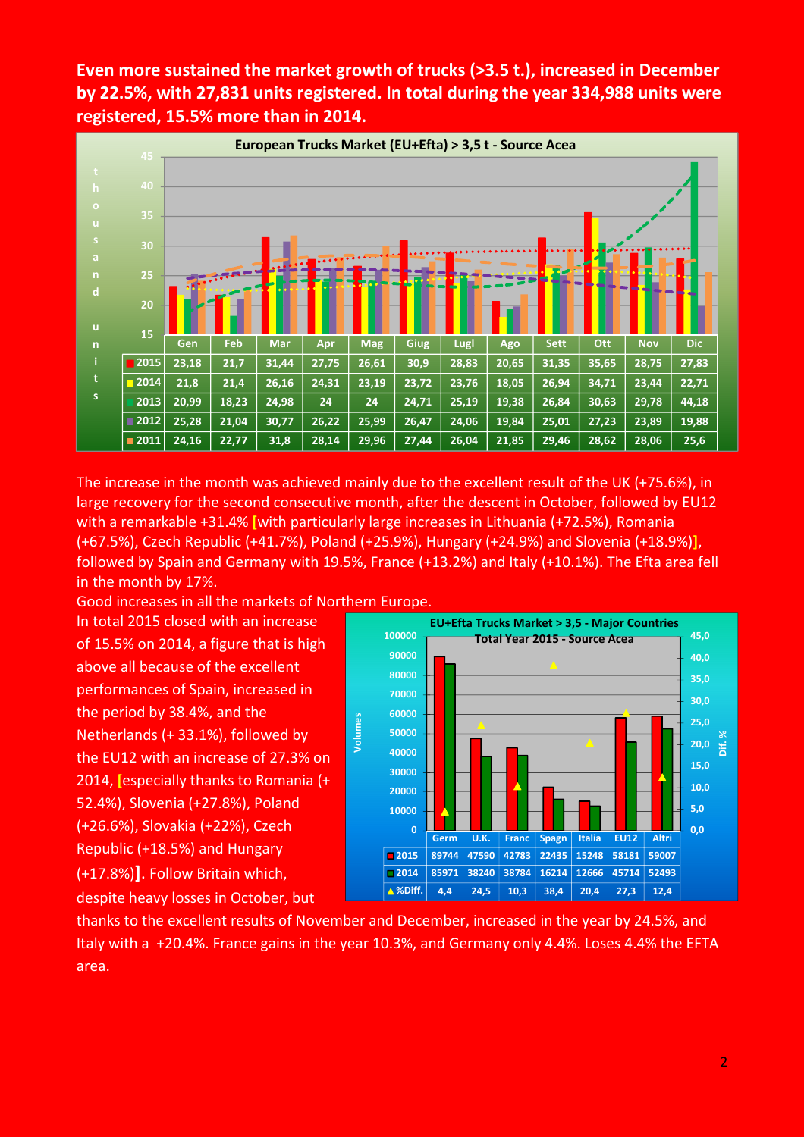Even more sustained the market growth of trucks (>3.5 t.), increased in December by 22.5%, with 27,831 units registered. In total during the year 334,988 units were registered, 15.5% more than in 2014.



The increase in the month was achieved mainly due to the excellent result of the UK (+75.6%), in large recovery for the second consecutive month, after the descent in October, followed by EU12 with a remarkable +31.4% [with particularly large increases in Lithuania (+72.5%), Romania (+67.5%), Czech Republic (+41.7%), Poland (+25.9%), Hungary (+24.9%) and Slovenia (+18.9%)], followed by Spain and Germany with 19.5%, France (+13.2%) and Italy (+10.1%). The Efta area fell in the month by 17%.

Good increases in all the markets of Northern Europe. In total 2015 closed with an increase of 15.5% on 2014, a figure that is high above all because of the excellent performances of Spain, increased in the period by 38.4%, and the Netherlands (+ 33.1%), followed by the EU12 with an increase of 27.3% on 2014, [especially thanks to Romania (+ 52.4%), Slovenia (+27.8%), Poland (+26.6%), Slovakia (+22%), Czech Republic (+18.5%) and Hungary (+17.8%)]. Follow Britain which, despite heavy losses in October, but



thanks to the excellent results of November and December, increased in the year by 24.5%, and Italy with a +20.4%. France gains in the year 10.3%, and Germany only 4.4%. Loses 4.4% the EFTA area.